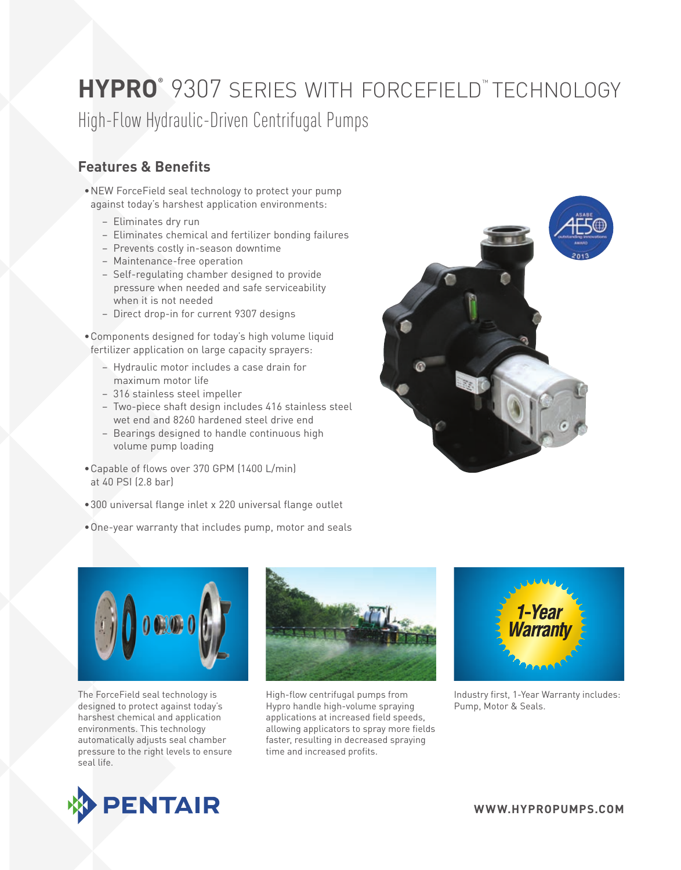# **HYPRO®** 9307 series with forcefield™ technology

High-Flow Hydraulic-Driven Centrifugal Pumps

### **Features & Benefits**

- •NEW ForceField seal technology to protect your pump against today's harshest application environments:
	- Eliminates dry run
	- Eliminates chemical and fertilizer bonding failures
	- Prevents costly in-season downtime
	- Maintenance-free operation
	- Self-regulating chamber designed to provide pressure when needed and safe serviceability when it is not needed
	- Direct drop-in for current 9307 designs
- •Components designed for today's high volume liquid fertilizer application on large capacity sprayers:
	- Hydraulic motor includes a case drain for maximum motor life
	- 316 stainless steel impeller
	- Two-piece shaft design includes 416 stainless steel wet end and 8260 hardened steel drive end
	- Bearings designed to handle continuous high volume pump loading
- •Capable of flows over 370 GPM (1400 L/min) at 40 PSI (2.8 bar)
- •300 universal flange inlet x 220 universal flange outlet
- •One-year warranty that includes pump, motor and seals





The ForceField seal technology is designed to protect against today's harshest chemical and application environments. This technology automatically adjusts seal chamber pressure to the right levels to ensure seal life.



High-flow centrifugal pumps from Hypro handle high-volume spraying applications at increased field speeds, allowing applicators to spray more fields faster, resulting in decreased spraying time and increased profits.



Industry first, 1-Year Warranty includes: Pump, Motor & Seals.